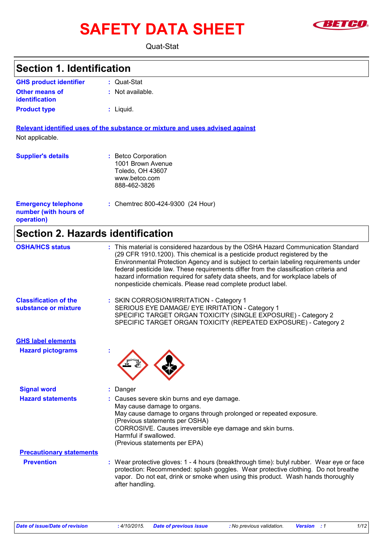# SAFETY DATA SHEET **SAFETY**



Quat-Stat

| <b>Section 1. Identification</b>                                  |                                                                                                                                                                                                                                                                                                                                                                                                                                                                                                     |
|-------------------------------------------------------------------|-----------------------------------------------------------------------------------------------------------------------------------------------------------------------------------------------------------------------------------------------------------------------------------------------------------------------------------------------------------------------------------------------------------------------------------------------------------------------------------------------------|
| <b>GHS product identifier</b>                                     | : Quat-Stat                                                                                                                                                                                                                                                                                                                                                                                                                                                                                         |
| <b>Other means of</b><br>identification                           | : Not available.                                                                                                                                                                                                                                                                                                                                                                                                                                                                                    |
| <b>Product type</b>                                               | : Liquid.                                                                                                                                                                                                                                                                                                                                                                                                                                                                                           |
|                                                                   | Relevant identified uses of the substance or mixture and uses advised against                                                                                                                                                                                                                                                                                                                                                                                                                       |
| Not applicable.                                                   |                                                                                                                                                                                                                                                                                                                                                                                                                                                                                                     |
| <b>Supplier's details</b>                                         | : Betco Corporation<br>1001 Brown Avenue<br>Toledo, OH 43607<br>www.betco.com<br>888-462-3826                                                                                                                                                                                                                                                                                                                                                                                                       |
| <b>Emergency telephone</b><br>number (with hours of<br>operation) | : Chemtrec 800-424-9300 (24 Hour)                                                                                                                                                                                                                                                                                                                                                                                                                                                                   |
| <b>Section 2. Hazards identification</b>                          |                                                                                                                                                                                                                                                                                                                                                                                                                                                                                                     |
| <b>OSHA/HCS status</b>                                            | : This material is considered hazardous by the OSHA Hazard Communication Standard<br>(29 CFR 1910.1200). This chemical is a pesticide product registered by the<br>Environmental Protection Agency and is subject to certain labeling requirements under<br>federal pesticide law. These requirements differ from the classification criteria and<br>hazard information required for safety data sheets, and for workplace labels of<br>nonpesticide chemicals. Please read complete product label. |
| <b>Classification of the</b><br>substance or mixture              | : SKIN CORROSION/IRRITATION - Category 1<br>SERIOUS EYE DAMAGE/ EYE IRRITATION - Category 1<br>SPECIFIC TARGET ORGAN TOXICITY (SINGLE EXPOSURE) - Category 2<br>SPECIFIC TARGET ORGAN TOXICITY (REPEATED EXPOSURE) - Category 2                                                                                                                                                                                                                                                                     |
| <b>GHS label elements</b>                                         |                                                                                                                                                                                                                                                                                                                                                                                                                                                                                                     |
| <b>Hazard pictograms</b>                                          |                                                                                                                                                                                                                                                                                                                                                                                                                                                                                                     |
| <b>Signal word</b>                                                | Danger                                                                                                                                                                                                                                                                                                                                                                                                                                                                                              |
| <b>Hazard statements</b>                                          | : Causes severe skin burns and eye damage.<br>May cause damage to organs.<br>May cause damage to organs through prolonged or repeated exposure.<br>(Previous statements per OSHA)<br>CORROSIVE. Causes irreversible eye damage and skin burns.<br>Harmful if swallowed.<br>(Previous statements per EPA)                                                                                                                                                                                            |
| <b>Precautionary statements</b>                                   |                                                                                                                                                                                                                                                                                                                                                                                                                                                                                                     |
| <b>Prevention</b>                                                 | : Wear protective gloves: 1 - 4 hours (breakthrough time): butyl rubber. Wear eye or face<br>protection: Recommended: splash goggles. Wear protective clothing. Do not breathe<br>vapor. Do not eat, drink or smoke when using this product. Wash hands thoroughly<br>after handling.                                                                                                                                                                                                               |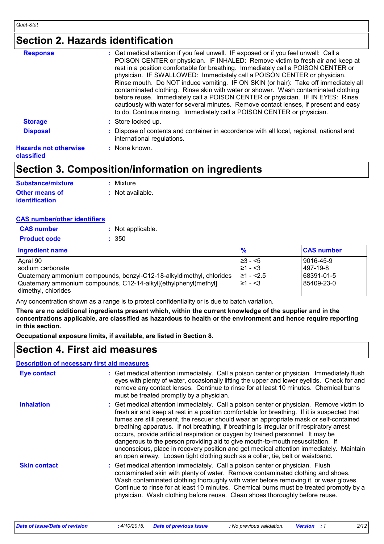### **Section 2. Hazards identification**

| <b>Response</b>                            | : Get medical attention if you feel unwell. IF exposed or if you feel unwell: Call a<br>POISON CENTER or physician. IF INHALED: Remove victim to fresh air and keep at<br>rest in a position comfortable for breathing. Immediately call a POISON CENTER or<br>physician. IF SWALLOWED: Immediately call a POISON CENTER or physician.<br>Rinse mouth. Do NOT induce vomiting. IF ON SKIN (or hair): Take off immediately all<br>contaminated clothing. Rinse skin with water or shower. Wash contaminated clothing<br>before reuse. Immediately call a POISON CENTER or physician. IF IN EYES: Rinse<br>cautiously with water for several minutes. Remove contact lenses, if present and easy<br>to do. Continue rinsing. Immediately call a POISON CENTER or physician. |
|--------------------------------------------|---------------------------------------------------------------------------------------------------------------------------------------------------------------------------------------------------------------------------------------------------------------------------------------------------------------------------------------------------------------------------------------------------------------------------------------------------------------------------------------------------------------------------------------------------------------------------------------------------------------------------------------------------------------------------------------------------------------------------------------------------------------------------|
| <b>Storage</b>                             | : Store locked up.                                                                                                                                                                                                                                                                                                                                                                                                                                                                                                                                                                                                                                                                                                                                                        |
| <b>Disposal</b>                            | : Dispose of contents and container in accordance with all local, regional, national and<br>international regulations.                                                                                                                                                                                                                                                                                                                                                                                                                                                                                                                                                                                                                                                    |
| <b>Hazards not otherwise</b><br>classified | $\therefore$ None known.                                                                                                                                                                                                                                                                                                                                                                                                                                                                                                                                                                                                                                                                                                                                                  |

### **Section 3. Composition/information on ingredients**

| <b>Substance/mixture</b> | : Mixture          |
|--------------------------|--------------------|
| <b>Other means of</b>    | $:$ Not available. |
| <b>identification</b>    |                    |

#### **CAS number/other identifiers**

| <b>Product code</b><br>: 350 | <b>CAS</b> number | : Not applicable. |
|------------------------------|-------------------|-------------------|
|                              |                   |                   |

| <b>Ingredient name</b>                                                                  | $\frac{9}{6}$     | <b>CAS number</b> |
|-----------------------------------------------------------------------------------------|-------------------|-------------------|
| Agral 90                                                                                | $\ge$ 3 − <5      | 9016-45-9         |
| Isodium carbonate                                                                       | $\geq 1 - \leq 3$ | 497-19-8          |
| Quaternary ammonium compounds, benzyl-C12-18-alkyldimethyl, chlorides                   | $ ≥1 - < 2.5$     | 68391-01-5        |
| Quaternary ammonium compounds, C12-14-alkyl[(ethylphenyl)methyl]<br>dimethyl, chlorides | I≥1 - <3          | 85409-23-0        |

Any concentration shown as a range is to protect confidentiality or is due to batch variation.

**There are no additional ingredients present which, within the current knowledge of the supplier and in the concentrations applicable, are classified as hazardous to health or the environment and hence require reporting in this section.**

**Occupational exposure limits, if available, are listed in Section 8.**

### **Section 4. First aid measures**

#### **Description of necessary first aid measures**

| <b>Eye contact</b>  | : Get medical attention immediately. Call a poison center or physician. Immediately flush<br>eyes with plenty of water, occasionally lifting the upper and lower eyelids. Check for and<br>remove any contact lenses. Continue to rinse for at least 10 minutes. Chemical burns<br>must be treated promptly by a physician.                                                                                                                                                                                                                                                                                                                                                                                                        |
|---------------------|------------------------------------------------------------------------------------------------------------------------------------------------------------------------------------------------------------------------------------------------------------------------------------------------------------------------------------------------------------------------------------------------------------------------------------------------------------------------------------------------------------------------------------------------------------------------------------------------------------------------------------------------------------------------------------------------------------------------------------|
| <b>Inhalation</b>   | : Get medical attention immediately. Call a poison center or physician. Remove victim to<br>fresh air and keep at rest in a position comfortable for breathing. If it is suspected that<br>fumes are still present, the rescuer should wear an appropriate mask or self-contained<br>breathing apparatus. If not breathing, if breathing is irregular or if respiratory arrest<br>occurs, provide artificial respiration or oxygen by trained personnel. It may be<br>dangerous to the person providing aid to give mouth-to-mouth resuscitation. If<br>unconscious, place in recovery position and get medical attention immediately. Maintain<br>an open airway. Loosen tight clothing such as a collar, tie, belt or waistband. |
| <b>Skin contact</b> | : Get medical attention immediately. Call a poison center or physician. Flush<br>contaminated skin with plenty of water. Remove contaminated clothing and shoes.<br>Wash contaminated clothing thoroughly with water before removing it, or wear gloves.<br>Continue to rinse for at least 10 minutes. Chemical burns must be treated promptly by a<br>physician. Wash clothing before reuse. Clean shoes thoroughly before reuse.                                                                                                                                                                                                                                                                                                 |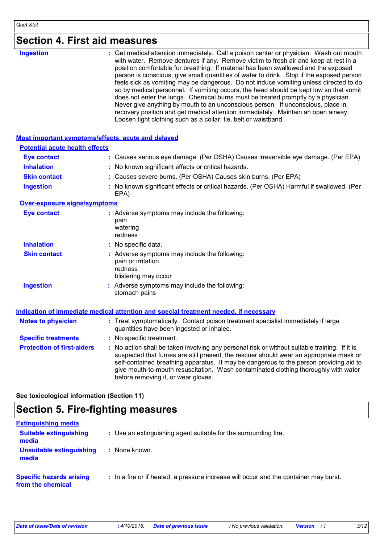|  |  | <b>Section 4. First aid measures</b> |  |
|--|--|--------------------------------------|--|
|--|--|--------------------------------------|--|

| <b>Ingestion</b>                                   | Get medical attention immediately. Call a poison center or physician. Wash out mouth<br>with water. Remove dentures if any. Remove victim to fresh air and keep at rest in a<br>position comfortable for breathing. If material has been swallowed and the exposed<br>person is conscious, give small quantities of water to drink. Stop if the exposed person<br>feels sick as vomiting may be dangerous. Do not induce vomiting unless directed to do<br>so by medical personnel. If vomiting occurs, the head should be kept low so that vomit<br>does not enter the lungs. Chemical burns must be treated promptly by a physician.<br>Never give anything by mouth to an unconscious person. If unconscious, place in<br>recovery position and get medical attention immediately. Maintain an open airway.<br>Loosen tight clothing such as a collar, tie, belt or waistband. |
|----------------------------------------------------|-----------------------------------------------------------------------------------------------------------------------------------------------------------------------------------------------------------------------------------------------------------------------------------------------------------------------------------------------------------------------------------------------------------------------------------------------------------------------------------------------------------------------------------------------------------------------------------------------------------------------------------------------------------------------------------------------------------------------------------------------------------------------------------------------------------------------------------------------------------------------------------|
| Most important symptoms/effects, acute and delayed |                                                                                                                                                                                                                                                                                                                                                                                                                                                                                                                                                                                                                                                                                                                                                                                                                                                                                   |
| <b>Potential acute health effects</b>              |                                                                                                                                                                                                                                                                                                                                                                                                                                                                                                                                                                                                                                                                                                                                                                                                                                                                                   |
| <b>Eye contact</b>                                 | : Causes serious eye damage. (Per OSHA) Causes irreversible eye damage. (Per EPA)                                                                                                                                                                                                                                                                                                                                                                                                                                                                                                                                                                                                                                                                                                                                                                                                 |
| <b>Inhalation</b>                                  | : No known significant effects or critical hazards.                                                                                                                                                                                                                                                                                                                                                                                                                                                                                                                                                                                                                                                                                                                                                                                                                               |
| <b>Skin contact</b>                                | : Causes severe burns. (Per OSHA) Causes skin burns. (Per EPA)                                                                                                                                                                                                                                                                                                                                                                                                                                                                                                                                                                                                                                                                                                                                                                                                                    |
| <b>Ingestion</b>                                   | : No known significant effects or critical hazards. (Per OSHA) Harmful if swallowed. (Per<br>EPA)                                                                                                                                                                                                                                                                                                                                                                                                                                                                                                                                                                                                                                                                                                                                                                                 |
| <b>Over-exposure signs/symptoms</b>                |                                                                                                                                                                                                                                                                                                                                                                                                                                                                                                                                                                                                                                                                                                                                                                                                                                                                                   |
| <b>Eye contact</b>                                 | : Adverse symptoms may include the following:<br>pain<br>watering<br>redness                                                                                                                                                                                                                                                                                                                                                                                                                                                                                                                                                                                                                                                                                                                                                                                                      |
| <b>Inhalation</b>                                  | : No specific data.                                                                                                                                                                                                                                                                                                                                                                                                                                                                                                                                                                                                                                                                                                                                                                                                                                                               |
| <b>Skin contact</b>                                | : Adverse symptoms may include the following:<br>pain or irritation<br>redness<br>blistering may occur                                                                                                                                                                                                                                                                                                                                                                                                                                                                                                                                                                                                                                                                                                                                                                            |
| <b>Ingestion</b>                                   | : Adverse symptoms may include the following:<br>stomach pains                                                                                                                                                                                                                                                                                                                                                                                                                                                                                                                                                                                                                                                                                                                                                                                                                    |
|                                                    | <b>Indication of immediate medical attention and special treatment needed, if necessary</b>                                                                                                                                                                                                                                                                                                                                                                                                                                                                                                                                                                                                                                                                                                                                                                                       |
| <b>Notes to physician</b>                          | : Treat symptomatically. Contact poison treatment specialist immediately if large<br>quantities have been ingested or inhaled.                                                                                                                                                                                                                                                                                                                                                                                                                                                                                                                                                                                                                                                                                                                                                    |
| <b>Specific treatments</b>                         | : No specific treatment.                                                                                                                                                                                                                                                                                                                                                                                                                                                                                                                                                                                                                                                                                                                                                                                                                                                          |
| <b>Protection of first-aiders</b>                  | No action shall be taken involving any personal risk or without suitable training. If it is<br>suspected that fumes are still present, the rescuer should wear an appropriate mask or<br>self-contained breathing apparatus. It may be dangerous to the person providing aid to<br>give mouth-to-mouth resuscitation. Wash contaminated clothing thoroughly with water<br>before removing it, or wear gloves.                                                                                                                                                                                                                                                                                                                                                                                                                                                                     |
|                                                    |                                                                                                                                                                                                                                                                                                                                                                                                                                                                                                                                                                                                                                                                                                                                                                                                                                                                                   |

**See toxicological information (Section 11)**

## **Section 5. Fire-fighting measures**

| <b>Extinguishing media</b>                           |                                                                                       |
|------------------------------------------------------|---------------------------------------------------------------------------------------|
| <b>Suitable extinguishing</b><br>media               | : Use an extinguishing agent suitable for the surrounding fire.                       |
| Unsuitable extinguishing<br>media                    | : None known.                                                                         |
| <b>Specific hazards arising</b><br>from the chemical | : In a fire or if heated, a pressure increase will occur and the container may burst. |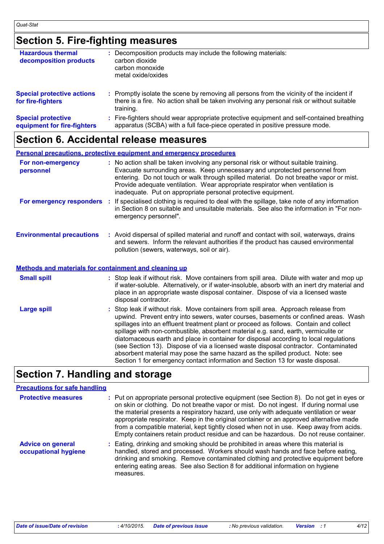## **Section 5. Fire-fighting measures**

| <b>Hazardous thermal</b><br>decomposition products       | Decomposition products may include the following materials:<br>carbon dioxide<br>carbon monoxide<br>metal oxide/oxides                                                                              |
|----------------------------------------------------------|-----------------------------------------------------------------------------------------------------------------------------------------------------------------------------------------------------|
| <b>Special protective actions</b><br>for fire-fighters   | : Promptly isolate the scene by removing all persons from the vicinity of the incident if<br>there is a fire. No action shall be taken involving any personal risk or without suitable<br>training. |
| <b>Special protective</b><br>equipment for fire-fighters | Fire-fighters should wear appropriate protective equipment and self-contained breathing<br>apparatus (SCBA) with a full face-piece operated in positive pressure mode.                              |

### **Section 6. Accidental release measures**

**Personal precautions, protective equipment and emergency procedures**

| For non-emergency<br>personnel                               | : No action shall be taken involving any personal risk or without suitable training.<br>Evacuate surrounding areas. Keep unnecessary and unprotected personnel from<br>entering. Do not touch or walk through spilled material. Do not breathe vapor or mist.<br>Provide adequate ventilation. Wear appropriate respirator when ventilation is<br>inadequate. Put on appropriate personal protective equipment.                                                                                                                           |
|--------------------------------------------------------------|-------------------------------------------------------------------------------------------------------------------------------------------------------------------------------------------------------------------------------------------------------------------------------------------------------------------------------------------------------------------------------------------------------------------------------------------------------------------------------------------------------------------------------------------|
|                                                              | For emergency responders : If specialised clothing is required to deal with the spillage, take note of any information<br>in Section 8 on suitable and unsuitable materials. See also the information in "For non-<br>emergency personnel".                                                                                                                                                                                                                                                                                               |
| <b>Environmental precautions</b>                             | : Avoid dispersal of spilled material and runoff and contact with soil, waterways, drains<br>and sewers. Inform the relevant authorities if the product has caused environmental<br>pollution (sewers, waterways, soil or air).                                                                                                                                                                                                                                                                                                           |
| <b>Methods and materials for containment and cleaning up</b> |                                                                                                                                                                                                                                                                                                                                                                                                                                                                                                                                           |
| <b>Small spill</b>                                           | : Stop leak if without risk. Move containers from spill area. Dilute with water and mop up<br>if water-soluble. Alternatively, or if water-insoluble, absorb with an inert dry material and<br>place in an appropriate waste disposal container. Dispose of via a licensed waste<br>disposal contractor.                                                                                                                                                                                                                                  |
| <b>Large spill</b>                                           | : Stop leak if without risk. Move containers from spill area. Approach release from<br>upwind. Prevent entry into sewers, water courses, basements or confined areas. Wash<br>spillages into an effluent treatment plant or proceed as follows. Contain and collect<br>spillage with non-combustible, absorbent material e.g. sand, earth, vermiculite or<br>diatomaceous earth and place in container for disposal according to local regulations<br>(see Section 13). Dispose of via a licensed waste disposal contractor. Contaminated |

### **Section 7. Handling and storage**

#### **Precautions for safe handling**

| <b>Protective measures</b>                       | : Put on appropriate personal protective equipment (see Section 8). Do not get in eyes or<br>on skin or clothing. Do not breathe vapor or mist. Do not ingest. If during normal use<br>the material presents a respiratory hazard, use only with adequate ventilation or wear<br>appropriate respirator. Keep in the original container or an approved alternative made<br>from a compatible material, kept tightly closed when not in use. Keep away from acids.<br>Empty containers retain product residue and can be hazardous. Do not reuse container. |
|--------------------------------------------------|------------------------------------------------------------------------------------------------------------------------------------------------------------------------------------------------------------------------------------------------------------------------------------------------------------------------------------------------------------------------------------------------------------------------------------------------------------------------------------------------------------------------------------------------------------|
| <b>Advice on general</b><br>occupational hygiene | : Eating, drinking and smoking should be prohibited in areas where this material is<br>handled, stored and processed. Workers should wash hands and face before eating,<br>drinking and smoking. Remove contaminated clothing and protective equipment before<br>entering eating areas. See also Section 8 for additional information on hygiene<br>measures.                                                                                                                                                                                              |

absorbent material may pose the same hazard as the spilled product. Note: see Section 1 for emergency contact information and Section 13 for waste disposal.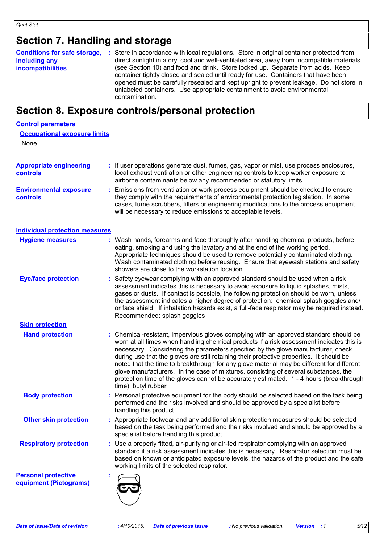## **Section 7. Handling and storage**

### **Section 8. Exposure controls/personal protection**

#### **Control parameters**

None.

| <b>Appropriate engineering</b><br><b>controls</b> | : If user operations generate dust, fumes, gas, vapor or mist, use process enclosures,<br>local exhaust ventilation or other engineering controls to keep worker exposure to<br>airborne contaminants below any recommended or statutory limits.                                                                                |
|---------------------------------------------------|---------------------------------------------------------------------------------------------------------------------------------------------------------------------------------------------------------------------------------------------------------------------------------------------------------------------------------|
| <b>Environmental exposure</b><br><b>controls</b>  | : Emissions from ventilation or work process equipment should be checked to ensure<br>they comply with the requirements of environmental protection legislation. In some<br>cases, fume scrubbers, filters or engineering modifications to the process equipment<br>will be necessary to reduce emissions to acceptable levels. |

#### **Individual protection measures**

| <b>Hygiene measures</b>                              | : Wash hands, forearms and face thoroughly after handling chemical products, before<br>eating, smoking and using the lavatory and at the end of the working period.<br>Appropriate techniques should be used to remove potentially contaminated clothing.<br>Wash contaminated clothing before reusing. Ensure that eyewash stations and safety<br>showers are close to the workstation location.                                                                                                                                                                                                                                                                       |
|------------------------------------------------------|-------------------------------------------------------------------------------------------------------------------------------------------------------------------------------------------------------------------------------------------------------------------------------------------------------------------------------------------------------------------------------------------------------------------------------------------------------------------------------------------------------------------------------------------------------------------------------------------------------------------------------------------------------------------------|
| <b>Eye/face protection</b>                           | : Safety eyewear complying with an approved standard should be used when a risk<br>assessment indicates this is necessary to avoid exposure to liquid splashes, mists,<br>gases or dusts. If contact is possible, the following protection should be worn, unless<br>the assessment indicates a higher degree of protection: chemical splash goggles and/<br>or face shield. If inhalation hazards exist, a full-face respirator may be required instead.<br>Recommended: splash goggles                                                                                                                                                                                |
| <b>Skin protection</b>                               |                                                                                                                                                                                                                                                                                                                                                                                                                                                                                                                                                                                                                                                                         |
| <b>Hand protection</b>                               | : Chemical-resistant, impervious gloves complying with an approved standard should be<br>worn at all times when handling chemical products if a risk assessment indicates this is<br>necessary. Considering the parameters specified by the glove manufacturer, check<br>during use that the gloves are still retaining their protective properties. It should be<br>noted that the time to breakthrough for any glove material may be different for different<br>glove manufacturers. In the case of mixtures, consisting of several substances, the<br>protection time of the gloves cannot be accurately estimated. 1 - 4 hours (breakthrough<br>time): butyl rubber |
| <b>Body protection</b>                               | : Personal protective equipment for the body should be selected based on the task being<br>performed and the risks involved and should be approved by a specialist before<br>handling this product.                                                                                                                                                                                                                                                                                                                                                                                                                                                                     |
| <b>Other skin protection</b>                         | : Appropriate footwear and any additional skin protection measures should be selected<br>based on the task being performed and the risks involved and should be approved by a<br>specialist before handling this product.                                                                                                                                                                                                                                                                                                                                                                                                                                               |
| <b>Respiratory protection</b>                        | : Use a properly fitted, air-purifying or air-fed respirator complying with an approved<br>standard if a risk assessment indicates this is necessary. Respirator selection must be<br>based on known or anticipated exposure levels, the hazards of the product and the safe<br>working limits of the selected respirator.                                                                                                                                                                                                                                                                                                                                              |
| <b>Personal protective</b><br>equipment (Pictograms) |                                                                                                                                                                                                                                                                                                                                                                                                                                                                                                                                                                                                                                                                         |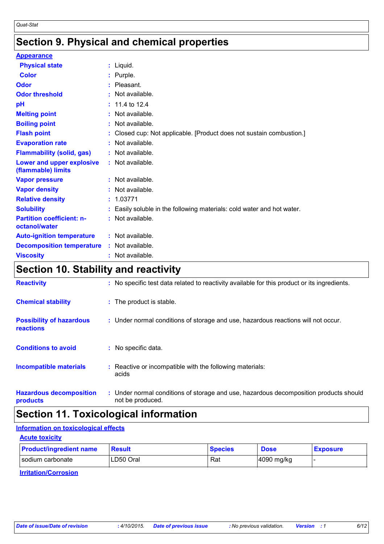## **Section 9. Physical and chemical properties**

| <b>Appearance</b>                                 |                                                                        |
|---------------------------------------------------|------------------------------------------------------------------------|
| <b>Physical state</b>                             | $:$ Liquid.                                                            |
| Color                                             | : Purple.                                                              |
| Odor                                              | $:$ Pleasant.                                                          |
| <b>Odor threshold</b>                             | $:$ Not available.                                                     |
| рH                                                | $: 11.4$ to 12.4                                                       |
| <b>Melting point</b>                              | : Not available.                                                       |
| <b>Boiling point</b>                              | : Not available.                                                       |
| <b>Flash point</b>                                | : Closed cup: Not applicable. [Product does not sustain combustion.]   |
| <b>Evaporation rate</b>                           | : Not available.                                                       |
| <b>Flammability (solid, gas)</b>                  | : Not available.                                                       |
| Lower and upper explosive<br>(flammable) limits   | : Not available.                                                       |
| <b>Vapor pressure</b>                             | $:$ Not available.                                                     |
| <b>Vapor density</b>                              | $:$ Not available.                                                     |
| <b>Relative density</b>                           | : 1.03771                                                              |
| <b>Solubility</b>                                 | : Easily soluble in the following materials: cold water and hot water. |
| <b>Partition coefficient: n-</b><br>octanol/water | : Not available.                                                       |
| <b>Auto-ignition temperature</b>                  | : Not available.                                                       |
| <b>Decomposition temperature</b>                  | $:$ Not available.                                                     |
| <b>Viscosity</b>                                  | $:$ Not available.                                                     |

## **Section 10. Stability and reactivity**

| <b>Reactivity</b>                            | : No specific test data related to reactivity available for this product or its ingredients.              |
|----------------------------------------------|-----------------------------------------------------------------------------------------------------------|
| <b>Chemical stability</b>                    | : The product is stable.                                                                                  |
| <b>Possibility of hazardous</b><br>reactions | : Under normal conditions of storage and use, hazardous reactions will not occur.                         |
| <b>Conditions to avoid</b>                   | : No specific data.                                                                                       |
| <b>Incompatible materials</b>                | : Reactive or incompatible with the following materials:<br>acids                                         |
| <b>Hazardous decomposition</b><br>products   | : Under normal conditions of storage and use, hazardous decomposition products should<br>not be produced. |

## **Section 11. Toxicological information**

#### **Information on toxicological effects**

| <b>Acute toxicity</b>          |               |                |             |                 |
|--------------------------------|---------------|----------------|-------------|-----------------|
| <b>Product/ingredient name</b> | <b>Result</b> | <b>Species</b> | <b>Dose</b> | <b>Exposure</b> |
| sodium carbonate               | LD50 Oral     | Rat            | 4090 mg/kg  |                 |

**Irritation/Corrosion**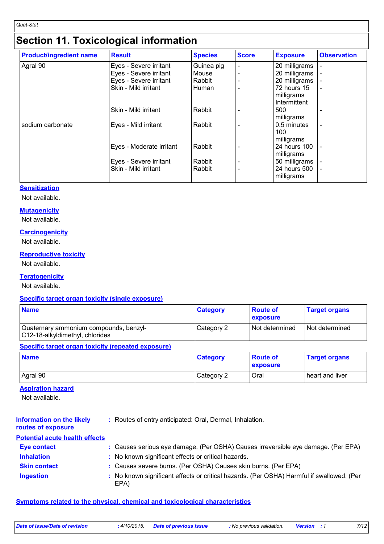## **Section 11. Toxicological information**

| <b>Product/ingredient name</b> | <b>Result</b>            | <b>Species</b> | <b>Score</b> | <b>Exposure</b>                  | <b>Observation</b> |
|--------------------------------|--------------------------|----------------|--------------|----------------------------------|--------------------|
| Agral 90                       | Eyes - Severe irritant   | Guinea pig     |              | 20 milligrams                    |                    |
|                                | Eyes - Severe irritant   | Mouse          |              | 20 milligrams                    |                    |
|                                | Eyes - Severe irritant   | Rabbit         |              | 20 milligrams                    |                    |
|                                | Skin - Mild irritant     | Human          |              | 72 hours 15                      |                    |
|                                |                          |                |              | milligrams<br>Intermittent       |                    |
|                                | Skin - Mild irritant     | Rabbit         |              | 500<br>milligrams                | ۰                  |
| sodium carbonate               | Eyes - Mild irritant     | Rabbit         |              | 0.5 minutes<br>100<br>milligrams | ۰                  |
|                                | Eyes - Moderate irritant | Rabbit         |              | 24 hours 100<br>milligrams       |                    |
|                                | Eyes - Severe irritant   | Rabbit         |              | 50 milligrams                    |                    |
|                                | Skin - Mild irritant     | Rabbit         |              | 24 hours 500<br>milligrams       | ۰                  |

#### **Sensitization**

Not available.

#### **Mutagenicity**

Not available.

#### **Carcinogenicity**

Not available.

#### **Reproductive toxicity**

Not available.

#### **Teratogenicity**

Not available.

#### **Specific target organ toxicity (single exposure)**

| <b>Name</b>                                                               | <b>Category</b> | <b>Route of</b><br><b>exposure</b> | <b>Target organs</b> |
|---------------------------------------------------------------------------|-----------------|------------------------------------|----------------------|
| Quaternary ammonium compounds, benzyl-<br>C12-18-alkyldimethyl, chlorides | Category 2      | l Not determined                   | Not determined       |
| Specific target organ toxicity (repeated exposure)                        |                 |                                    |                      |

| <b>Name</b> | <b>Category</b> | <b>Route of</b><br>exposure | <b>Target organs</b> |
|-------------|-----------------|-----------------------------|----------------------|
| Agral 90    | Category 2      | Oral                        | heart and liver      |

#### **Aspiration hazard**

Not available.

| <b>Information on the likely</b><br>routes of exposure | : Routes of entry anticipated: Oral, Dermal, Inhalation.                                          |
|--------------------------------------------------------|---------------------------------------------------------------------------------------------------|
| <b>Potential acute health effects</b>                  |                                                                                                   |
| <b>Eye contact</b>                                     | : Causes serious eye damage. (Per OSHA) Causes irreversible eye damage. (Per EPA)                 |
| <b>Inhalation</b>                                      | : No known significant effects or critical hazards.                                               |
| <b>Skin contact</b>                                    | : Causes severe burns. (Per OSHA) Causes skin burns. (Per EPA)                                    |
| <b>Ingestion</b>                                       | : No known significant effects or critical hazards. (Per OSHA) Harmful if swallowed. (Per<br>EPA) |

#### **Symptoms related to the physical, chemical and toxicological characteristics**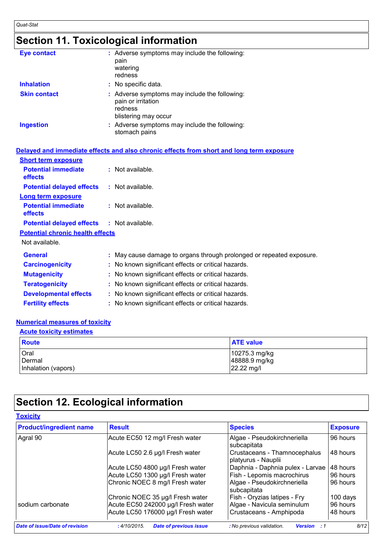## **Section 11. Toxicological information**

| <b>Eye contact</b>  | : Adverse symptoms may include the following:<br>pain<br>watering<br>redness                           |
|---------------------|--------------------------------------------------------------------------------------------------------|
| <b>Inhalation</b>   | : No specific data.                                                                                    |
| <b>Skin contact</b> | : Adverse symptoms may include the following:<br>pain or irritation<br>redness<br>blistering may occur |
| <b>Ingestion</b>    | : Adverse symptoms may include the following:<br>stomach pains                                         |

**Fertility effects :** No known significant effects or critical hazards.

|                                                   | Delayed and immediate effects and also chronic effects from short and long term exposure |
|---------------------------------------------------|------------------------------------------------------------------------------------------|
| <b>Short term exposure</b>                        |                                                                                          |
| <b>Potential immediate</b><br><b>effects</b>      | : Not available.                                                                         |
| <b>Potential delayed effects</b>                  | $:$ Not available.                                                                       |
| <b>Long term exposure</b>                         |                                                                                          |
| <b>Potential immediate</b><br><b>effects</b>      | : Not available.                                                                         |
| <b>Potential delayed effects : Not available.</b> |                                                                                          |
| <b>Potential chronic health effects</b>           |                                                                                          |
| Not available.                                    |                                                                                          |
| <b>General</b>                                    | : May cause damage to organs through prolonged or repeated exposure.                     |
| <b>Carcinogenicity</b>                            | : No known significant effects or critical hazards.                                      |
| <b>Mutagenicity</b>                               | : No known significant effects or critical hazards.                                      |
| <b>Teratogenicity</b>                             | : No known significant effects or critical hazards.                                      |
| <b>Developmental effects</b>                      | : No known significant effects or critical hazards.                                      |

#### **Numerical measures of toxicity**

#### **Acute toxicity estimates**

| Route               | <b>ATE</b> value |
|---------------------|------------------|
| <b>Oral</b>         | $10275.3$ mg/kg  |
| Dermal              | 48888.9 mg/kg    |
| Inhalation (vapors) | 22.22 mg/l       |

## **Section 12. Ecological information**

| <b>Product/ingredient name</b> | <b>Result</b>                                 | <b>Species</b>                                      | <b>Exposure</b> |
|--------------------------------|-----------------------------------------------|-----------------------------------------------------|-----------------|
| Agral 90                       | Acute EC50 12 mg/l Fresh water                | Algae - Pseudokirchneriella<br>subcapitata          | 96 hours        |
|                                | Acute LC50 2.6 µg/l Fresh water               | Crustaceans - Thamnocephalus<br>platyurus - Nauplii | 48 hours        |
|                                | Acute LC50 4800 µg/l Fresh water              | Daphnia - Daphnia pulex - Larvae                    | 48 hours        |
|                                | Acute LC50 1300 µg/l Fresh water              | Fish - Lepomis macrochirus                          | 196 hours       |
|                                | Chronic NOEC 8 mg/l Fresh water               | Algae - Pseudokirchneriella<br>subcapitata          | 96 hours        |
|                                | Chronic NOEC 35 µg/l Fresh water              | Fish - Oryzias latipes - Fry                        | 100 days        |
| sodium carbonate               | Acute EC50 242000 µg/l Fresh water            | Algae - Navicula seminulum                          | 96 hours        |
|                                | Acute LC50 176000 µg/l Fresh water            | Crustaceans - Amphipoda                             | 48 hours        |
| Date of issue/Date of revision | <b>Date of previous issue</b><br>: 4/10/2015. | : No previous validation.<br><b>Version</b> : 1     | 8/12            |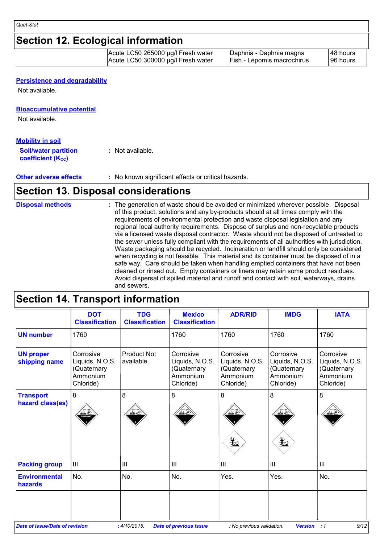### **Section 12. Ecological information**

| Acute LC50 265000 µg/l Fresh water | Daphnia - Daphnia magna           | 148 hours |
|------------------------------------|-----------------------------------|-----------|
| Acute LC50 300000 µg/l Fresh water | <b>Fish - Lepomis macrochirus</b> | 196 hours |

#### **Persistence and degradability**

Not available.

#### **Bioaccumulative potential**

Not available.

#### **Mobility in soil**

| <b>Soil/water partition</b>    | : Not available. |
|--------------------------------|------------------|
| coefficient (K <sub>oc</sub> ) |                  |

**Other adverse effects** : No known significant effects or critical hazards.

### **Section 13. Disposal considerations**

### **Disposal methods :**

The generation of waste should be avoided or minimized wherever possible. Disposal of this product, solutions and any by-products should at all times comply with the requirements of environmental protection and waste disposal legislation and any regional local authority requirements. Dispose of surplus and non-recyclable products via a licensed waste disposal contractor. Waste should not be disposed of untreated to the sewer unless fully compliant with the requirements of all authorities with jurisdiction. Waste packaging should be recycled. Incineration or landfill should only be considered when recycling is not feasible. This material and its container must be disposed of in a safe way. Care should be taken when handling emptied containers that have not been cleaned or rinsed out. Empty containers or liners may retain some product residues. Avoid dispersal of spilled material and runoff and contact with soil, waterways, drains and sewers.

### **Section 14. Transport information**

|                                       | <b>DOT</b><br><b>Classification</b>                                  | <b>TDG</b><br><b>Classification</b> | <b>Mexico</b><br><b>Classification</b>                               | <b>ADR/RID</b>                                                       | <b>IMDG</b>                                                          | <b>IATA</b>                                                          |
|---------------------------------------|----------------------------------------------------------------------|-------------------------------------|----------------------------------------------------------------------|----------------------------------------------------------------------|----------------------------------------------------------------------|----------------------------------------------------------------------|
| <b>UN number</b>                      | 1760                                                                 |                                     | 1760                                                                 | 1760                                                                 | 1760                                                                 | 1760                                                                 |
| <b>UN proper</b><br>shipping name     | Corrosive<br>Liquids, N.O.S.<br>(Quaternary<br>Ammonium<br>Chloride) | <b>Product Not</b><br>available.    | Corrosive<br>Liquids, N.O.S.<br>(Quaternary<br>Ammonium<br>Chloride) | Corrosive<br>Liquids, N.O.S.<br>(Quaternary<br>Ammonium<br>Chloride) | Corrosive<br>Liquids, N.O.S.<br>(Quaternary<br>Ammonium<br>Chloride) | Corrosive<br>Liquids, N.O.S.<br>(Quaternary<br>Ammonium<br>Chloride) |
| <b>Transport</b><br>hazard class(es)  | 8                                                                    | 8                                   | 8                                                                    | 8<br>$\bigstar$                                                      | 8<br>y                                                               | 8                                                                    |
| <b>Packing group</b>                  | III                                                                  | III                                 | III                                                                  | $\mathbf{III}$                                                       | III                                                                  | III                                                                  |
| <b>Environmental</b><br>hazards       | No.                                                                  | No.                                 | No.                                                                  | Yes.                                                                 | Yes.                                                                 | No.                                                                  |
| <b>Date of issue/Date of revision</b> |                                                                      | : 4/10/2015.                        | <b>Date of previous issue</b>                                        | : No previous validation.                                            | <b>Version</b>                                                       | 9/12<br>:1                                                           |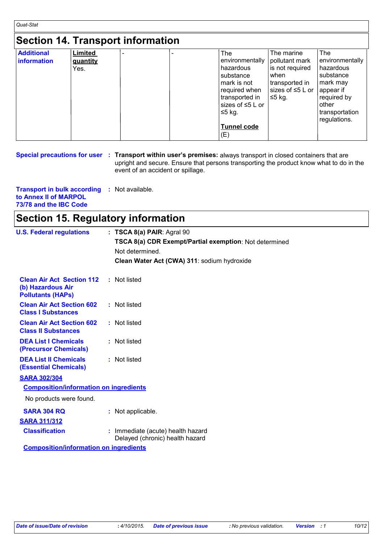## **Section 14. Transport information**

| <b>Additional</b>  | <b>Limited</b> | - | <b>The</b>             | The marine             | The             |
|--------------------|----------------|---|------------------------|------------------------|-----------------|
| <b>information</b> | quantity       |   | environmentally        | pollutant mark         | environmentally |
|                    | Yes.           |   | l hazardous            | is not required        | hazardous       |
|                    |                |   | substance              | when                   | substance       |
|                    |                |   | l mark is not          | transported in         | mark may        |
|                    |                |   | required when          | sizes of $\leq 5$ L or | appear if       |
|                    |                |   | transported in         | $≤5$ kg.               | required by     |
|                    |                |   | sizes of $\leq 5$ L or |                        | other           |
|                    |                |   | $≤5$ kg.               |                        | transportation  |
|                    |                |   |                        |                        | regulations.    |
|                    |                |   | <b>Tunnel code</b>     |                        |                 |
|                    |                |   | (E)                    |                        |                 |

|  | Special precautions for user : Transport within user's premises: always transport in closed containers that are |
|--|-----------------------------------------------------------------------------------------------------------------|
|  | upright and secure. Ensure that persons transporting the product know what to do in the                         |
|  | event of an accident or spillage.                                                                               |

| <b>Transport in bulk according : Not available.</b> |  |  |
|-----------------------------------------------------|--|--|
| to Annex II of MARPOL                               |  |  |
| 73/78 and the IBC Code                              |  |  |

| <b>Section 15. Regulatory information</b>                                         |                                                                                                                                                        |  |  |  |
|-----------------------------------------------------------------------------------|--------------------------------------------------------------------------------------------------------------------------------------------------------|--|--|--|
| <b>U.S. Federal regulations</b>                                                   | : TSCA 8(a) PAIR: Agral 90<br>TSCA 8(a) CDR Exempt/Partial exemption: Not determined<br>Not determined.<br>Clean Water Act (CWA) 311: sodium hydroxide |  |  |  |
| <b>Clean Air Act Section 112</b><br>(b) Hazardous Air<br><b>Pollutants (HAPS)</b> | : Not listed                                                                                                                                           |  |  |  |
| <b>Clean Air Act Section 602</b><br><b>Class I Substances</b>                     | : Not listed                                                                                                                                           |  |  |  |
| <b>Clean Air Act Section 602</b><br><b>Class II Substances</b>                    | : Not listed                                                                                                                                           |  |  |  |
| <b>DEA List I Chemicals</b><br>(Precursor Chemicals)                              | : Not listed                                                                                                                                           |  |  |  |
| <b>DEA List II Chemicals</b><br><b>(Essential Chemicals)</b>                      | : Not listed                                                                                                                                           |  |  |  |
| <b>SARA 302/304</b>                                                               |                                                                                                                                                        |  |  |  |
| <b>Composition/information on ingredients</b>                                     |                                                                                                                                                        |  |  |  |
| No products were found.                                                           |                                                                                                                                                        |  |  |  |
| <b>SARA 304 RQ</b>                                                                | : Not applicable.                                                                                                                                      |  |  |  |
| <b>SARA 311/312</b>                                                               |                                                                                                                                                        |  |  |  |
| <b>Classification</b>                                                             | Immediate (acute) health hazard<br>Delayed (chronic) health hazard                                                                                     |  |  |  |

**Composition/information on ingredients**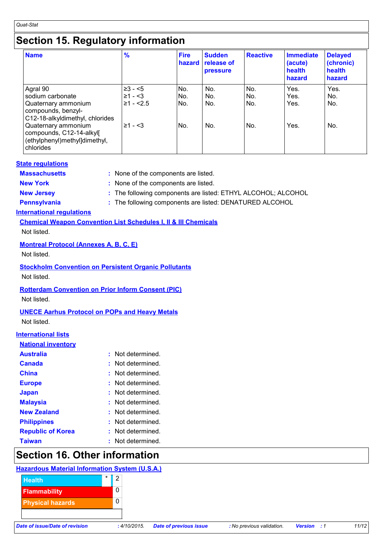### **Section 15. Regulatory information**

| <b>Name</b>                                                                                                  | $\frac{9}{6}$                           | <b>Fire</b><br>hazard | <b>Sudden</b><br>release of<br>pressure | <b>Reactive</b>   | Immediate<br>(acute)<br>health<br>hazard | <b>Delayed</b><br>(chronic)<br>health<br>hazard |
|--------------------------------------------------------------------------------------------------------------|-----------------------------------------|-----------------------|-----------------------------------------|-------------------|------------------------------------------|-------------------------------------------------|
| Agral 90<br>sodium carbonate<br>Quaternary ammonium<br>compounds, benzyl-<br>C12-18-alkyldimethyl, chlorides | $≥3 - 5$<br>$≥1 - 53$<br>$\geq 1 - 2.5$ | No.<br>No.<br>No.     | No.<br>No.<br>No.                       | No.<br>No.<br>No. | Yes.<br>Yes.<br>Yes.                     | Yes.<br>No.<br>No.                              |
| Quaternary ammonium<br>compounds, C12-14-alkyl[<br>(ethylphenyl)methyl]dimethyl,<br>chlorides                | $\geq 1 - \leq 3$                       | No.                   | No.                                     | No.               | Yes.                                     | No.                                             |

#### **State regulations**

**Massachusetts :** None of the components are listed.

**New York :** None of the components are listed.

- **New Jersey :** The following components are listed: ETHYL ALCOHOL; ALCOHOL
- 
- **Pennsylvania :** The following components are listed: DENATURED ALCOHOL

#### **International regulations**

**Chemical Weapon Convention List Schedules I, II & III Chemicals**

Not listed.

#### **Montreal Protocol (Annexes A, B, C, E)**

Not listed.

#### **Stockholm Convention on Persistent Organic Pollutants**

Not listed.

#### **Rotterdam Convention on Prior Inform Consent (PIC)**

Not listed.

### **UNECE Aarhus Protocol on POPs and Heavy Metals**

Not listed.

#### **International lists**

#### **National inventory**

| <b>Australia</b>         | Not determined.       |
|--------------------------|-----------------------|
| Canada                   | Not determined.<br>t. |
| <b>China</b>             | Not determined.<br>t. |
| <b>Europe</b>            | Not determined.<br>t. |
| <b>Japan</b>             | : Not determined      |
| <b>Malaysia</b>          | Not determined.<br>t. |
| <b>New Zealand</b>       | Not determined.<br>t. |
| <b>Philippines</b>       | Not determined.       |
| <b>Republic of Korea</b> | Not determined.<br>t. |
| Taiwan                   | Not determined.       |

## **Section 16. Other information**

### **Hazardous Material Information System (U.S.A.)**